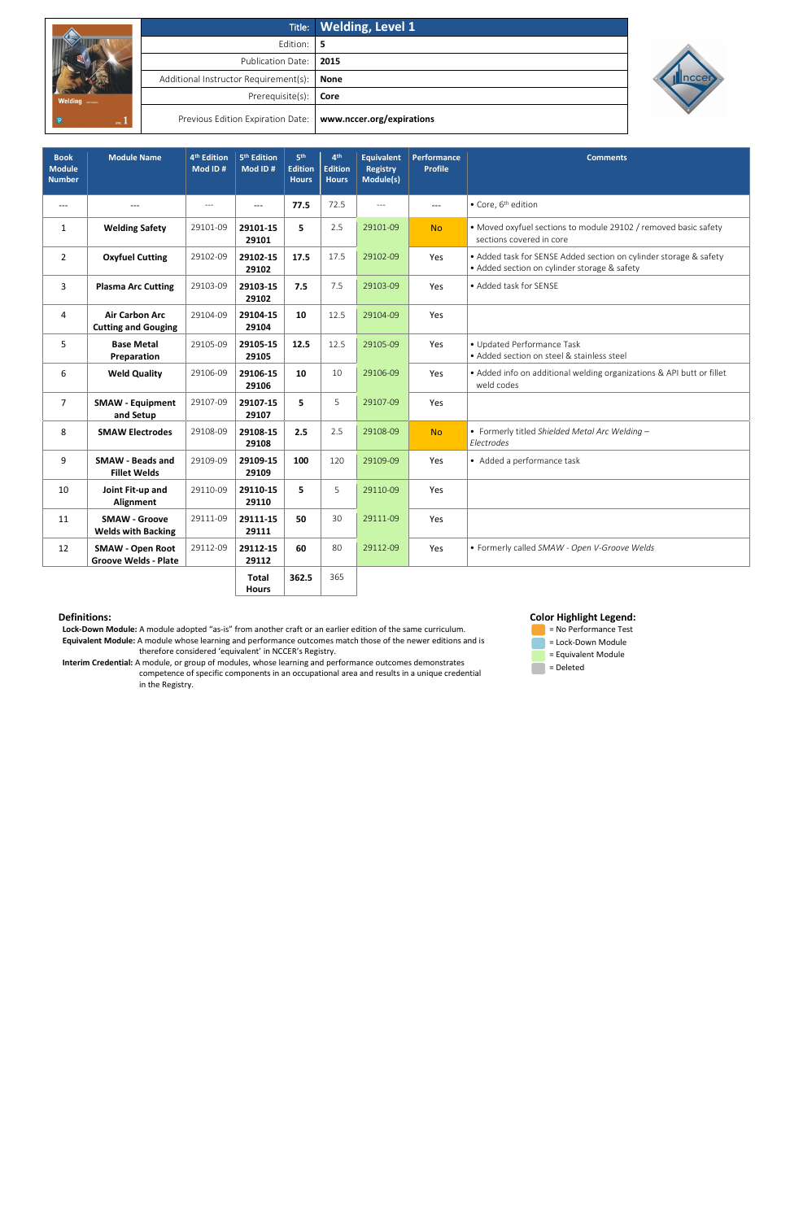|                |                                                               | Title: Welding, Level 1 |  |  |  |  |  |
|----------------|---------------------------------------------------------------|-------------------------|--|--|--|--|--|
| <b>Welding</b> | Edition: 5                                                    |                         |  |  |  |  |  |
|                | Publication Date:   2015                                      |                         |  |  |  |  |  |
|                | Additional Instructor Requirement(s):   None                  |                         |  |  |  |  |  |
|                | Prerequisite(s): $\vert$ Core                                 |                         |  |  |  |  |  |
| teva.          | Previous Edition Expiration Date:   www.nccer.org/expirations |                         |  |  |  |  |  |



 **Lock-Down Module:** A module adopted "as-is" from another craft or an earlier edition of the same curriculum. **Equivalent Module:** A module whose learning and performance outcomes match those of the newer editions and is therefore considered 'equivalent' in NCCER's Registry.

 **Interim Credential:** A module, or group of modules, whose learning and performance outcomes demonstrates competence of specific components in an occupational area and results in a unique credential in the Registry.

# **Color Highlight Legend:**



| <b>Book</b><br><b>Module</b><br><b>Number</b> | <b>Module Name</b>                                     | 4 <sup>th</sup> Edition<br>Mod ID# | 5 <sup>th</sup> Edition<br>Mod ID# | 5 <sup>th</sup><br><b>Edition</b><br><b>Hours</b> | 4 <sup>th</sup><br><b>Edition</b><br><b>Hours</b> | <b>Equivalent</b><br><b>Registry</b><br>Module(s) | <b>Performance</b><br><b>Profile</b> | <b>Comments</b>                                                                                                   |
|-----------------------------------------------|--------------------------------------------------------|------------------------------------|------------------------------------|---------------------------------------------------|---------------------------------------------------|---------------------------------------------------|--------------------------------------|-------------------------------------------------------------------------------------------------------------------|
| $---$                                         | $---$                                                  | $---$                              | $---$                              | 77.5                                              | 72.5                                              | $---$                                             | $---$                                | • Core, 6 <sup>th</sup> edition                                                                                   |
| $\mathbf{1}$                                  | <b>Welding Safety</b>                                  | 29101-09                           | 29101-15<br>29101                  | 5                                                 | 2.5                                               | 29101-09                                          | <b>No</b>                            | • Moved oxyfuel sections to module 29102 / removed basic safety<br>sections covered in core                       |
| $\overline{2}$                                | <b>Oxyfuel Cutting</b>                                 | 29102-09                           | 29102-15<br>29102                  | 17.5                                              | 17.5                                              | 29102-09                                          | Yes                                  | • Added task for SENSE Added section on cylinder storage & safety<br>• Added section on cylinder storage & safety |
| 3                                             | <b>Plasma Arc Cutting</b>                              | 29103-09                           | 29103-15<br>29102                  | 7.5                                               | 7.5                                               | 29103-09                                          | Yes                                  | • Added task for SENSE                                                                                            |
| 4                                             | <b>Air Carbon Arc</b><br><b>Cutting and Gouging</b>    | 29104-09                           | 29104-15<br>29104                  | 10                                                | 12.5                                              | 29104-09                                          | Yes                                  |                                                                                                                   |
| 5                                             | <b>Base Metal</b><br>Preparation                       | 29105-09                           | 29105-15<br>29105                  | 12.5                                              | 12.5                                              | 29105-09                                          | Yes                                  | · Updated Performance Task<br>• Added section on steel & stainless steel                                          |
| 6                                             | <b>Weld Quality</b>                                    | 29106-09                           | 29106-15<br>29106                  | 10                                                | 10                                                | 29106-09                                          | Yes                                  | • Added info on additional welding organizations & API butt or fillet<br>weld codes                               |
| $\overline{7}$                                | <b>SMAW - Equipment</b><br>and Setup                   | 29107-09                           | 29107-15<br>29107                  | 5                                                 | 5                                                 | 29107-09                                          | Yes                                  |                                                                                                                   |
| 8                                             | <b>SMAW Electrodes</b>                                 | 29108-09                           | 29108-15<br>29108                  | 2.5                                               | 2.5                                               | 29108-09                                          | <b>No</b>                            | • Formerly titled Shielded Metal Arc Welding -<br>Electrodes                                                      |
| 9                                             | <b>SMAW - Beads and</b><br><b>Fillet Welds</b>         | 29109-09                           | 29109-15<br>29109                  | 100                                               | 120                                               | 29109-09                                          | Yes                                  | • Added a performance task                                                                                        |
| 10                                            | Joint Fit-up and<br>Alignment                          | 29110-09                           | 29110-15<br>29110                  | 5.                                                | 5                                                 | 29110-09                                          | Yes                                  |                                                                                                                   |
| 11                                            | <b>SMAW - Groove</b><br><b>Welds with Backing</b>      | 29111-09                           | 29111-15<br>29111                  | 50                                                | 30                                                | 29111-09                                          | Yes                                  |                                                                                                                   |
| 12                                            | <b>SMAW - Open Root</b><br><b>Groove Welds - Plate</b> | 29112-09                           | 29112-15<br>29112                  | 60                                                | 80                                                | 29112-09                                          | Yes                                  | • Formerly called SMAW - Open V-Groove Welds                                                                      |
|                                               |                                                        |                                    | <b>Total</b><br><b>Hours</b>       | 362.5                                             | 365                                               |                                                   |                                      |                                                                                                                   |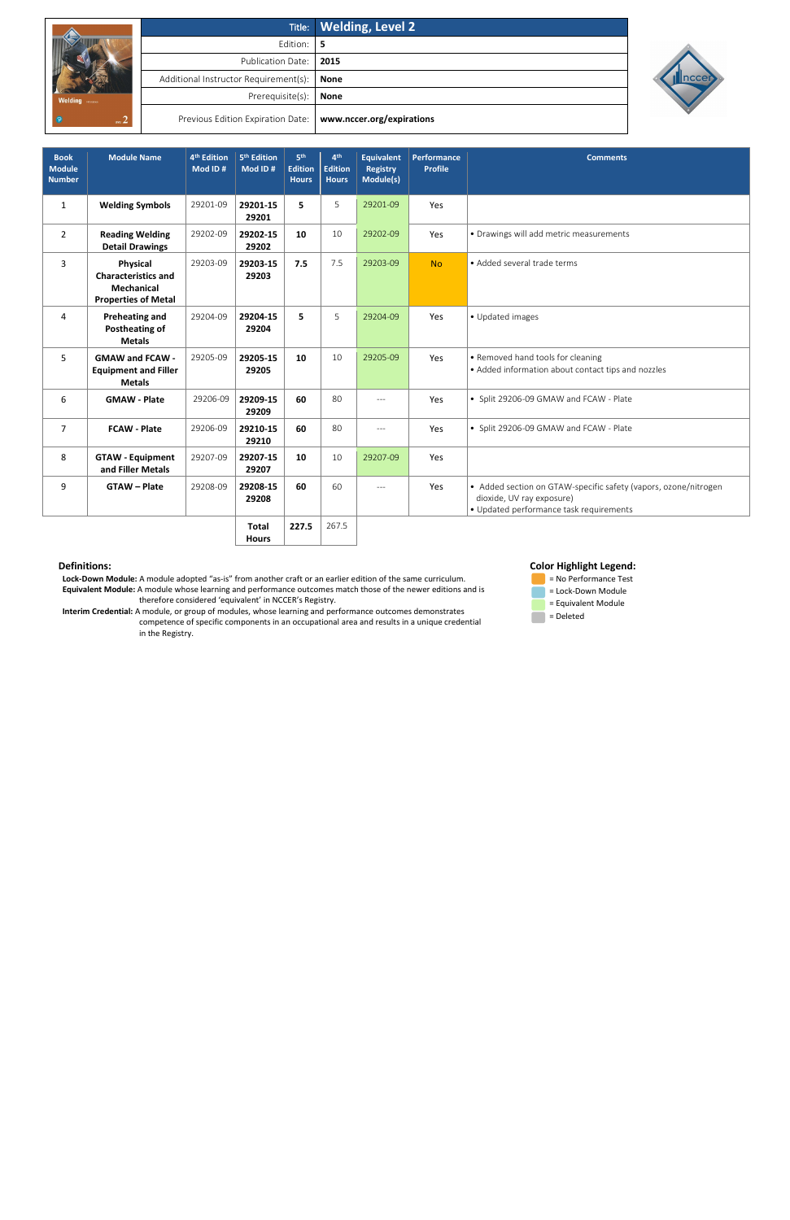|                |                                              | <b>Title:</b> Welding, Level 2 |
|----------------|----------------------------------------------|--------------------------------|
|                | Edition:                                     | -5                             |
|                | Publication Date:   2015                     |                                |
| <b>Welding</b> | Additional Instructor Requirement(s):   None |                                |
|                | Prerequisite(s):                             | <b>None</b>                    |
| ure            | Previous Edition Expiration Date:            | www.nccer.org/expirations      |



 **Lock-Down Module:** A module adopted "as-is" from another craft or an earlier edition of the same curriculum. **Equivalent Module:** A module whose learning and performance outcomes match those of the newer editions and is therefore considered 'equivalent' in NCCER's Registry.

 **Interim Credential:** A module, or group of modules, whose learning and performance outcomes demonstrates competence of specific components in an occupational area and results in a unique credential in the Registry.

## **Color Highlight Legend:**



| <b>Book</b><br><b>Module</b><br><b>Number</b> | <b>Module Name</b>                                                                        | 4 <sup>th</sup> Edition<br>Mod ID# | 5 <sup>th</sup> Edition<br>Mod ID# | 5 <sup>th</sup><br><b>Edition</b><br><b>Hours</b> | 4 <sup>th</sup><br><b>Edition</b><br><b>Hours</b> | <b>Equivalent</b><br><b>Registry</b><br>Module(s) | Performance<br><b>Profile</b> | <b>Comments</b>                                                                                                                         |
|-----------------------------------------------|-------------------------------------------------------------------------------------------|------------------------------------|------------------------------------|---------------------------------------------------|---------------------------------------------------|---------------------------------------------------|-------------------------------|-----------------------------------------------------------------------------------------------------------------------------------------|
| $\mathbf{1}$                                  | <b>Welding Symbols</b>                                                                    | 29201-09                           | 29201-15<br>29201                  | 5.                                                | 5                                                 | 29201-09                                          | Yes                           |                                                                                                                                         |
| $\overline{2}$                                | <b>Reading Welding</b><br><b>Detail Drawings</b>                                          | 29202-09                           | 29202-15<br>29202                  | 10                                                | 10                                                | 29202-09                                          | Yes                           | • Drawings will add metric measurements                                                                                                 |
| 3                                             | Physical<br><b>Characteristics and</b><br><b>Mechanical</b><br><b>Properties of Metal</b> | 29203-09                           | 29203-15<br>29203                  | 7.5                                               | 7.5                                               | 29203-09                                          | <b>No</b>                     | • Added several trade terms                                                                                                             |
| 4                                             | <b>Preheating and</b><br><b>Postheating of</b><br><b>Metals</b>                           | 29204-09                           | 29204-15<br>29204                  | 5.                                                | 5                                                 | 29204-09                                          | Yes                           | • Updated images                                                                                                                        |
| 5                                             | <b>GMAW and FCAW -</b><br><b>Equipment and Filler</b><br><b>Metals</b>                    | 29205-09                           | 29205-15<br>29205                  | 10                                                | 10                                                | 29205-09                                          | Yes                           | • Removed hand tools for cleaning<br>• Added information about contact tips and nozzles                                                 |
| 6                                             | <b>GMAW - Plate</b>                                                                       | 29206-09                           | 29209-15<br>29209                  | 60                                                | 80                                                | $---$                                             | Yes                           | • Split 29206-09 GMAW and FCAW - Plate                                                                                                  |
| $\overline{7}$                                | <b>FCAW - Plate</b>                                                                       | 29206-09                           | 29210-15<br>29210                  | 60                                                | 80                                                | $---$                                             | Yes                           | • Split 29206-09 GMAW and FCAW - Plate                                                                                                  |
| 8                                             | <b>GTAW - Equipment</b><br>and Filler Metals                                              | 29207-09                           | 29207-15<br>29207                  | 10                                                | 10                                                | 29207-09                                          | Yes                           |                                                                                                                                         |
| 9                                             | <b>GTAW - Plate</b>                                                                       | 29208-09                           | 29208-15<br>29208                  | 60                                                | 60                                                | $---$                                             | Yes                           | • Added section on GTAW-specific safety (vapors, ozone/nitrogen<br>dioxide, UV ray exposure)<br>• Updated performance task requirements |
|                                               |                                                                                           |                                    | <b>Total</b>                       | 227.5                                             | 267.5                                             |                                                   |                               |                                                                                                                                         |

**Hours**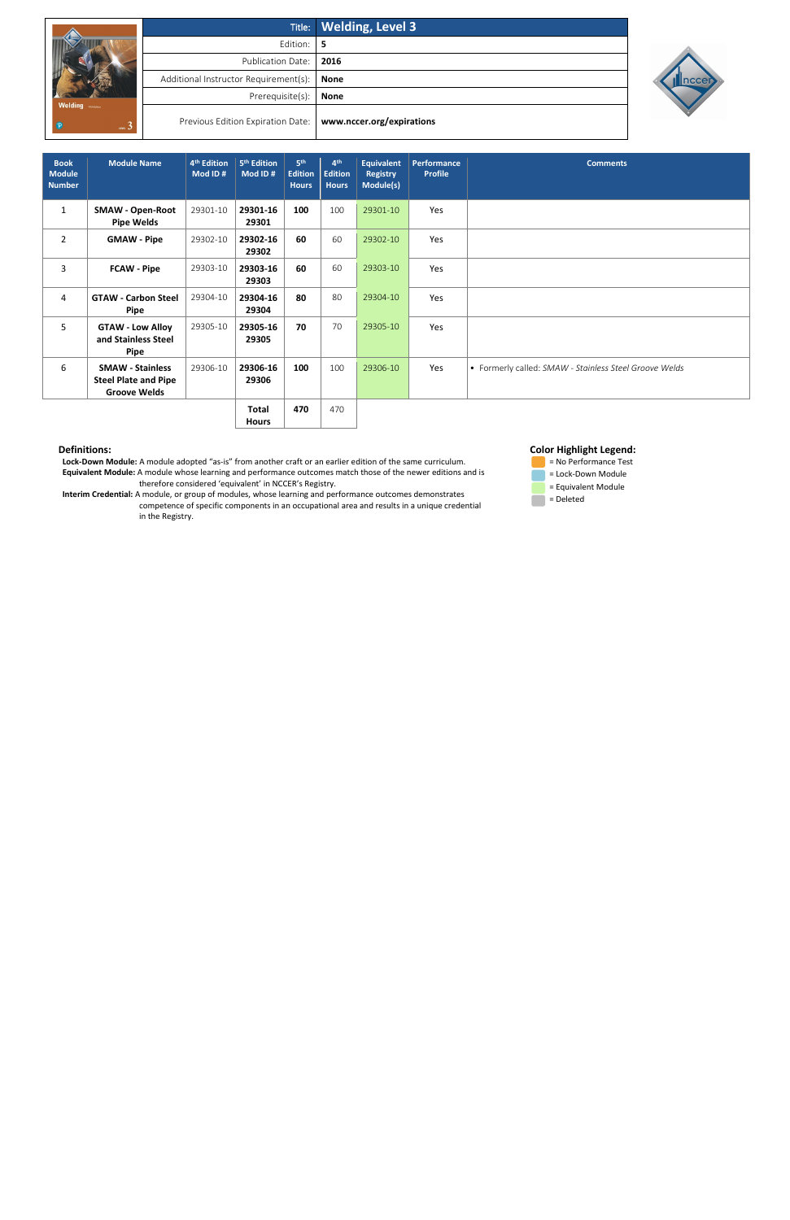|                          |                                       | Title: Welding, Level 3   |
|--------------------------|---------------------------------------|---------------------------|
|                          | Edition:                              | 5                         |
|                          | <b>Publication Date:</b>              | 2016                      |
|                          | Additional Instructor Requirement(s): | <b>None</b>               |
| <b>Welding</b> FINESSING | Prerequisite(s):                      | <b>None</b>               |
| $\mathfrak{m}$ 3         | Previous Edition Expiration Date:     | www.nccer.org/expirations |



 **Lock-Down Module:** A module adopted "as-is" from another craft or an earlier edition of the same curriculum. **Equivalent Module:** A module whose learning and performance outcomes match those of the newer editions and is therefore considered 'equivalent' in NCCER's Registry.

 **Interim Credential:** A module, or group of modules, whose learning and performance outcomes demonstrates competence of specific components in an occupational area and results in a unique credential in the Registry.

## **Color Highlight Legend:**



| <b>Book</b><br><b>Module</b><br><b>Number</b> | <b>Module Name</b>                                                            | 4 <sup>th</sup> Edition<br>Mod ID# | 5 <sup>th</sup> Edition<br>Mod ID# | 5 <sup>th</sup><br><b>Edition</b><br><b>Hours</b> | 4 <sup>th</sup><br><b>Edition</b><br><b>Hours</b> | <b>Equivalent</b><br><b>Registry</b><br>Module(s) | <b>Performance</b><br><b>Profile</b> | <b>Comments</b>                                        |
|-----------------------------------------------|-------------------------------------------------------------------------------|------------------------------------|------------------------------------|---------------------------------------------------|---------------------------------------------------|---------------------------------------------------|--------------------------------------|--------------------------------------------------------|
| $\mathbf{1}$                                  | <b>SMAW - Open-Root</b><br><b>Pipe Welds</b>                                  | 29301-10                           | 29301-16<br>29301                  | 100                                               | 100                                               | 29301-10                                          | Yes                                  |                                                        |
| $\overline{2}$                                | <b>GMAW - Pipe</b>                                                            | 29302-10                           | 29302-16<br>29302                  | 60                                                | 60                                                | 29302-10                                          | Yes                                  |                                                        |
| 3                                             | <b>FCAW - Pipe</b>                                                            | 29303-10                           | 29303-16<br>29303                  | 60                                                | 60                                                | 29303-10                                          | Yes                                  |                                                        |
| 4                                             | <b>GTAW - Carbon Steel</b><br>Pipe                                            | 29304-10                           | 29304-16<br>29304                  | 80                                                | 80                                                | 29304-10                                          | Yes                                  |                                                        |
| 5                                             | <b>GTAW - Low Alloy</b><br>and Stainless Steel<br>Pipe                        | 29305-10                           | 29305-16<br>29305                  | 70                                                | 70                                                | 29305-10                                          | Yes                                  |                                                        |
| 6                                             | <b>SMAW - Stainless</b><br><b>Steel Plate and Pipe</b><br><b>Groove Welds</b> | 29306-10                           | 29306-16<br>29306                  | 100                                               | 100                                               | 29306-10                                          | Yes                                  | • Formerly called: SMAW - Stainless Steel Groove Welds |
|                                               |                                                                               |                                    | Total<br><b>Hours</b>              | 470                                               | 470                                               |                                                   |                                      |                                                        |